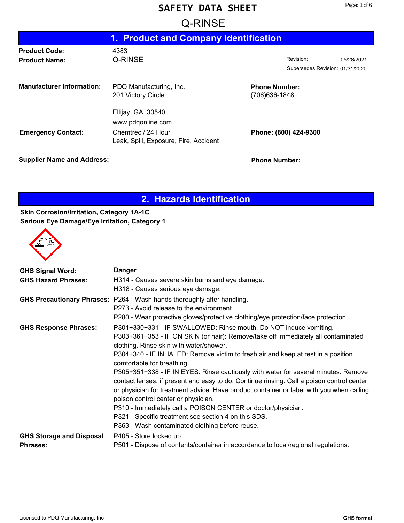# **Example 20: CONSERVANCE**

|                                              | 1. Product and Company Identification                                                                 |                                        |                                              |            |
|----------------------------------------------|-------------------------------------------------------------------------------------------------------|----------------------------------------|----------------------------------------------|------------|
| <b>Product Code:</b><br><b>Product Name:</b> | 4383<br>Q-RINSE                                                                                       |                                        | Revision:<br>Supersedes Revision: 01/31/2020 | 05/28/2021 |
| <b>Manufacturer Information:</b>             | PDQ Manufacturing, Inc.<br>201 Victory Circle                                                         | <b>Phone Number:</b><br>(706) 636-1848 |                                              |            |
| <b>Emergency Contact:</b>                    | Ellijay, GA 30540<br>www.pdqonline.com<br>Chemtrec / 24 Hour<br>Leak, Spill, Exposure, Fire, Accident |                                        | Phone: (800) 424-9300                        |            |

**Supplier Name and Address: Phone Number: Phone Number:** 

# **2. Hazards Identification**

### **Skin Corrosion/Irritation, Category 1A-1C Serious Eye Damage/Eye Irritation, Category 1**



| <b>GHS Signal Word:</b>         | <b>Danger</b>                                                                                                                                                                                                                                                                                                      |
|---------------------------------|--------------------------------------------------------------------------------------------------------------------------------------------------------------------------------------------------------------------------------------------------------------------------------------------------------------------|
| <b>GHS Hazard Phrases:</b>      | H314 - Causes severe skin burns and eye damage.                                                                                                                                                                                                                                                                    |
|                                 | H318 - Causes serious eye damage.                                                                                                                                                                                                                                                                                  |
|                                 | GHS Precautionary Phrases: P264 - Wash hands thoroughly after handling.                                                                                                                                                                                                                                            |
|                                 | P273 - Avoid release to the environment.                                                                                                                                                                                                                                                                           |
|                                 | P280 - Wear protective gloves/protective clothing/eye protection/face protection.                                                                                                                                                                                                                                  |
| <b>GHS Response Phrases:</b>    | P301+330+331 - IF SWALLOWED: Rinse mouth. Do NOT induce vomiting.                                                                                                                                                                                                                                                  |
|                                 | P303+361+353 - IF ON SKIN (or hair): Remove/take off immediately all contaminated<br>clothing. Rinse skin with water/shower.                                                                                                                                                                                       |
|                                 |                                                                                                                                                                                                                                                                                                                    |
|                                 | P304+340 - IF INHALED: Remove victim to fresh air and keep at rest in a position<br>comfortable for breathing.                                                                                                                                                                                                     |
|                                 | P305+351+338 - IF IN EYES: Rinse cautiously with water for several minutes. Remove<br>contact lenses, if present and easy to do. Continue rinsing. Call a poison control center<br>or physician for treatment advice. Have product container or label with you when calling<br>poison control center or physician. |
|                                 | P310 - Immediately call a POISON CENTER or doctor/physician.                                                                                                                                                                                                                                                       |
|                                 | P321 - Specific treatment see section 4 on this SDS.                                                                                                                                                                                                                                                               |
|                                 | P363 - Wash contaminated clothing before reuse.                                                                                                                                                                                                                                                                    |
| <b>GHS Storage and Disposal</b> | P405 - Store locked up.                                                                                                                                                                                                                                                                                            |
| <b>Phrases:</b>                 | P501 - Dispose of contents/container in accordance to local/regional regulations.                                                                                                                                                                                                                                  |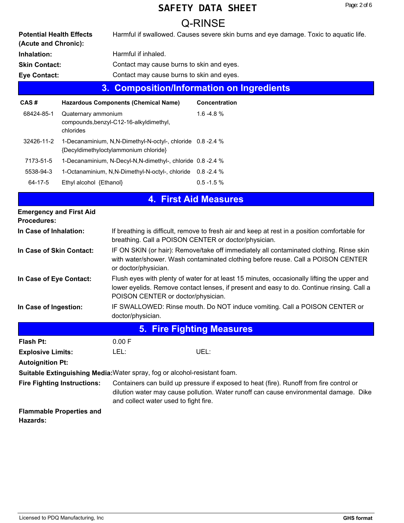#### Page: 2 of 6

# **SAFETY DATA SHEET**

|                                                         |                                  |                                                                                                    | Q-RINSE                                                                                                                                                                                  |
|---------------------------------------------------------|----------------------------------|----------------------------------------------------------------------------------------------------|------------------------------------------------------------------------------------------------------------------------------------------------------------------------------------------|
| <b>Potential Health Effects</b><br>(Acute and Chronic): |                                  |                                                                                                    | Harmful if swallowed. Causes severe skin burns and eye damage. Toxic to aquatic life.                                                                                                    |
| Inhalation:                                             |                                  | Harmful if inhaled.                                                                                |                                                                                                                                                                                          |
| <b>Skin Contact:</b>                                    |                                  | Contact may cause burns to skin and eyes.                                                          |                                                                                                                                                                                          |
| <b>Eye Contact:</b>                                     |                                  | Contact may cause burns to skin and eyes.                                                          |                                                                                                                                                                                          |
|                                                         | 3.                               |                                                                                                    | <b>Composition/Information on Ingredients</b>                                                                                                                                            |
| CAS#                                                    |                                  | <b>Hazardous Components (Chemical Name)</b>                                                        | <b>Concentration</b>                                                                                                                                                                     |
| 68424-85-1                                              | Quaternary ammonium<br>chlorides | compounds, benzyl-C12-16-alkyldimethyl,                                                            | $1.6 - 4.8 %$                                                                                                                                                                            |
| 32426-11-2                                              |                                  | 1-Decanaminium, N,N-Dimethyl-N-octyl-, chloride 0.8-2.4 %<br>{Decyldimethyloctylammonium chloride} |                                                                                                                                                                                          |
| 7173-51-5                                               |                                  | 1-Decanaminium, N-Decyl-N,N-dimethyl-, chloride 0.8 -2.4 %                                         |                                                                                                                                                                                          |
| 5538-94-3                                               |                                  | 1-Octanaminium, N,N-Dimethyl-N-octyl-, chloride 0.8-2.4 %                                          |                                                                                                                                                                                          |
| 64-17-5                                                 | Ethyl alcohol {Ethanol}          |                                                                                                    | $0.5 - 1.5 %$                                                                                                                                                                            |
|                                                         |                                  |                                                                                                    | <b>4. First Aid Measures</b>                                                                                                                                                             |
| <b>Emergency and First Aid</b><br><b>Procedures:</b>    |                                  |                                                                                                    |                                                                                                                                                                                          |
| In Case of Inhalation:                                  |                                  | breathing. Call a POISON CENTER or doctor/physician.                                               | If breathing is difficult, remove to fresh air and keep at rest in a position comfortable for                                                                                            |
| In Case of Skin Contact:                                |                                  | or doctor/physician.                                                                               | IF ON SKIN (or hair): Remove/take off immediately all contaminated clothing. Rinse skin<br>with water/shower. Wash contaminated clothing before reuse. Call a POISON CENTER              |
| In Case of Eye Contact:                                 |                                  | POISON CENTER or doctor/physician.                                                                 | Flush eyes with plenty of water for at least 15 minutes, occasionally lifting the upper and<br>lower eyelids. Remove contact lenses, if present and easy to do. Continue rinsing. Call a |
| In Case of Ingestion:                                   |                                  | doctor/physician.                                                                                  | IF SWALLOWED: Rinse mouth. Do NOT induce vomiting. Call a POISON CENTER or                                                                                                               |
|                                                         |                                  |                                                                                                    | <b>5. Fire Fighting Measures</b>                                                                                                                                                         |
| <b>Flash Pt:</b>                                        |                                  | 0.00 F                                                                                             |                                                                                                                                                                                          |
| <b>Explosive Limits:</b>                                |                                  | LEL:                                                                                               | UEL:                                                                                                                                                                                     |
| <b>Autoignition Pt:</b>                                 |                                  |                                                                                                    |                                                                                                                                                                                          |
|                                                         |                                  | Suitable Extinguishing Media: Water spray, fog or alcohol-resistant foam.                          |                                                                                                                                                                                          |
| <b>Fire Fighting Instructions:</b>                      |                                  | and collect water used to fight fire.                                                              | Containers can build up pressure if exposed to heat (fire). Runoff from fire control or<br>dilution water may cause pollution. Water runoff can cause environmental damage. Dike         |

**Flammable Properties and Hazards:**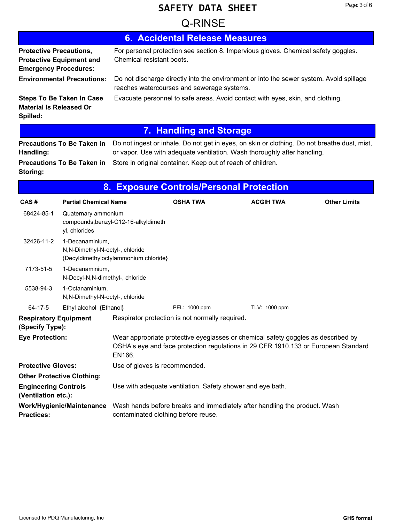|                                                                |                                                     |                                       | 6. Accidental Release Measures                                                                                                                                           |                  |                     |
|----------------------------------------------------------------|-----------------------------------------------------|---------------------------------------|--------------------------------------------------------------------------------------------------------------------------------------------------------------------------|------------------|---------------------|
| <b>Protective Precautions,</b><br><b>Emergency Procedures:</b> | <b>Protective Equipment and</b>                     | Chemical resistant boots.             | For personal protection see section 8. Impervious gloves. Chemical safety goggles.                                                                                       |                  |                     |
|                                                                | <b>Environmental Precautions:</b>                   |                                       | Do not discharge directly into the environment or into the sewer system. Avoid spillage<br>reaches watercourses and sewerage systems.                                    |                  |                     |
| <b>Material Is Released Or</b><br>Spilled:                     | <b>Steps To Be Taken In Case</b>                    |                                       | Evacuate personnel to safe areas. Avoid contact with eyes, skin, and clothing.                                                                                           |                  |                     |
|                                                                |                                                     |                                       | 7. Handling and Storage                                                                                                                                                  |                  |                     |
| Handling:                                                      | <b>Precautions To Be Taken in</b>                   |                                       | Do not ingest or inhale. Do not get in eyes, on skin or clothing. Do not breathe dust, mist,<br>or vapor. Use with adequate ventilation. Wash thoroughly after handling. |                  |                     |
| Storing:                                                       | <b>Precautions To Be Taken in</b>                   |                                       | Store in original container. Keep out of reach of children.                                                                                                              |                  |                     |
|                                                                |                                                     |                                       | 8. Exposure Controls/Personal Protection                                                                                                                                 |                  |                     |
| CAS#                                                           | <b>Partial Chemical Name</b>                        |                                       | <b>OSHA TWA</b>                                                                                                                                                          | <b>ACGIH TWA</b> | <b>Other Limits</b> |
| 68424-85-1                                                     | Quaternary ammonium<br>yl, chlorides                | compounds, benzyl-C12-16-alkyldimeth  |                                                                                                                                                                          |                  |                     |
| 32426-11-2                                                     | 1-Decanaminium,<br>N,N-Dimethyl-N-octyl-, chloride  | {Decyldimethyloctylammonium chloride} |                                                                                                                                                                          |                  |                     |
| 7173-51-5                                                      | 1-Decanaminium,<br>N-Decyl-N,N-dimethyl-, chloride  |                                       |                                                                                                                                                                          |                  |                     |
| 5538-94-3                                                      | 1-Octanaminium,<br>N, N-Dimethyl-N-octyl-, chloride |                                       |                                                                                                                                                                          |                  |                     |
| 64-17-5                                                        | Ethyl alcohol {Ethanol}                             |                                       | PEL: 1000 ppm                                                                                                                                                            | TLV: 1000 ppm    |                     |
| <b>Respiratory Equipment</b><br>(Specify Type):                |                                                     |                                       | Respirator protection is not normally required.                                                                                                                          |                  |                     |
| <b>Eye Protection:</b>                                         |                                                     | EN166.                                | Wear appropriate protective eyeglasses or chemical safety goggles as described by<br>OSHA's eye and face protection regulations in 29 CFR 1910.133 or European Standard  |                  |                     |
| <b>Protective Gloves:</b>                                      |                                                     |                                       | Use of gloves is recommended.                                                                                                                                            |                  |                     |
|                                                                | <b>Other Protective Clothing:</b>                   |                                       |                                                                                                                                                                          |                  |                     |
| <b>Engineering Controls</b><br>(Ventilation etc.):             |                                                     |                                       | Use with adequate ventilation. Safety shower and eye bath.                                                                                                               |                  |                     |
| <b>Practices:</b>                                              | Work/Hygienic/Maintenance                           |                                       | Wash hands before breaks and immediately after handling the product. Wash<br>contaminated clothing before reuse.                                                         |                  |                     |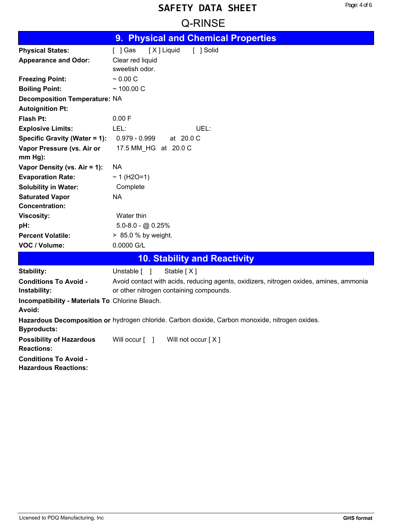# **Example 20: CONSERVANCE**

|                                                             | 9. Physical and Chemical Properties                                                             |
|-------------------------------------------------------------|-------------------------------------------------------------------------------------------------|
| <b>Physical States:</b>                                     | [X] Liquid<br>$[$ ] Gas<br>[ ] Solid                                                            |
| <b>Appearance and Odor:</b>                                 | Clear red liquid                                                                                |
|                                                             | sweetish odor.                                                                                  |
| <b>Freezing Point:</b>                                      | ~0.00~C                                                                                         |
| <b>Boiling Point:</b>                                       | $~100.00$ C                                                                                     |
| <b>Decomposition Temperature: NA</b>                        |                                                                                                 |
| <b>Autoignition Pt:</b>                                     |                                                                                                 |
| <b>Flash Pt:</b>                                            | 0.00 F                                                                                          |
| <b>Explosive Limits:</b>                                    | LEL:<br>UEL:                                                                                    |
| Specific Gravity (Water = 1):                               | $0.979 - 0.999$<br>at 20.0 C                                                                    |
| Vapor Pressure (vs. Air or                                  | 17.5 MM_HG at 20.0 C                                                                            |
| $mm Hg$ ):                                                  |                                                                                                 |
| Vapor Density (vs. Air = 1):                                | NA                                                                                              |
| <b>Evaporation Rate:</b>                                    | ~ 1 (H2O=1)                                                                                     |
| <b>Solubility in Water:</b>                                 | Complete                                                                                        |
| <b>Saturated Vapor</b>                                      | NA                                                                                              |
| <b>Concentration:</b>                                       |                                                                                                 |
| <b>Viscosity:</b>                                           | Water thin                                                                                      |
| pH:                                                         | $5.0 - 8.0 - (2.00 - 0.25)$                                                                     |
| <b>Percent Volatile:</b>                                    | > 85.0 % by weight.                                                                             |
| VOC / Volume:                                               | 0.0000 G/L                                                                                      |
|                                                             | <b>10. Stability and Reactivity</b>                                                             |
| Stability:                                                  | Stable [X]<br>Unstable [ ]                                                                      |
| <b>Conditions To Avoid -</b>                                | Avoid contact with acids, reducing agents, oxidizers, nitrogen oxides, amines, ammonia          |
| Instability:                                                | or other nitrogen containing compounds.                                                         |
| Incompatibility - Materials To Chlorine Bleach.             |                                                                                                 |
| Avoid:                                                      |                                                                                                 |
| <b>Byproducts:</b>                                          | Hazardous Decomposition or hydrogen chloride. Carbon dioxide, Carbon monoxide, nitrogen oxides. |
| <b>Possibility of Hazardous</b>                             | Will not occur [X]<br>Will occur [ ]                                                            |
| <b>Reactions:</b>                                           |                                                                                                 |
| <b>Conditions To Avoid -</b><br><b>Hazardous Reactions:</b> |                                                                                                 |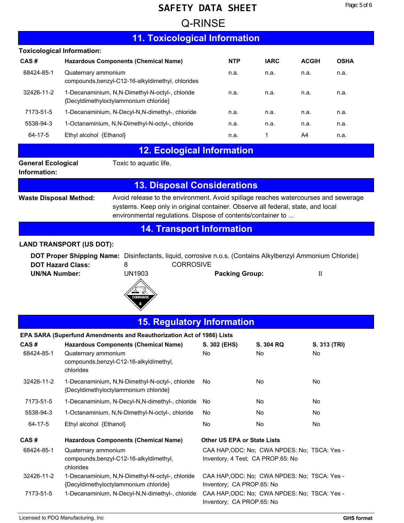# **Example 20: CONSERVANCE**

## **11. Toxicological Information**

| <b>Toxicological Information:</b> |                                                                                          |            |             |              |             |
|-----------------------------------|------------------------------------------------------------------------------------------|------------|-------------|--------------|-------------|
| CAS#                              | <b>Hazardous Components (Chemical Name)</b>                                              | <b>NTP</b> | <b>IARC</b> | <b>ACGIH</b> | <b>OSHA</b> |
| 68424-85-1                        | Quaternary ammonium<br>compounds, benzyl-C12-16-alkyldimethyl, chlorides                 | n.a.       | n.a.        | n.a.         | n.a.        |
| 32426-11-2                        | 1-Decanaminium, N,N-Dimethyl-N-octyl-, chloride<br>{Decyldimethyloctylammonium chloride} | n.a.       | n.a.        | n.a.         | n.a.        |
| 7173-51-5                         | 1-Decanaminium, N-Decyl-N, N-dimethyl-, chloride                                         | n.a.       | n.a.        | n.a.         | n.a.        |
| 5538-94-3                         | 1-Octanaminium, N,N-Dimethyl-N-octyl-, chloride                                          | n.a.       | n.a.        | n.a.         | n.a.        |
| 64-17-5                           | Ethyl alcohol {Ethanol}                                                                  | n.a.       | 1           | A4           | n.a.        |
|                                   |                                                                                          |            |             |              |             |

## **12. Ecological Information**

**General Ecological** Toxic to aquatic life.

#### **Information:**

## **13. Disposal Considerations**

**Waste Disposal Method:**

Avoid release to the environment. Avoid spillage reaches watercourses and sewerage systems. Keep only in original container. Observe all federal, state, and local environmental regulations. Dispose of contents/container to ...

### **14. Transport Information**

#### **LAND TRANSPORT (US DOT):**

**DOT Proper Shipping Name:** Disinfectants, liquid, corrosive n.o.s. (Contains Alkylbenzyl Ammonium Chloride) **DOT Hazard Class:** 8 **8** CORROSIVE **UN/NA Number:** UN1903 **Packing Group:** II